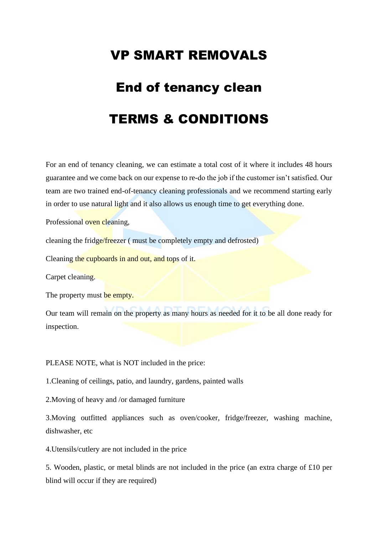## VP SMART REMOVALS

## End of tenancy clean TERMS & CONDITIONS

For an end of tenancy cleaning, we can estimate a total cost of it where it includes 48 hours guarantee and we come back on our expense to re-do the job if the customer isn't satisfied. Our team are two trained end-of-tenancy cleaning professionals and we recommend starting early in order to use natural light and it also allows us enough time to get everything done.

Professional oven cleaning,

cleaning the fridge/freezer ( must be completely empty and defrosted)

Cleaning the cupboards in and out, and tops of it.

Carpet cleaning.

The property must be empty.

Our team will remain on the property as many hours as needed for it to be all done ready for inspection.

PLEASE NOTE, what is NOT included in the price:

1.Cleaning of ceilings, patio, and laundry, gardens, painted walls

2.Moving of heavy and /or damaged furniture

3.Moving outfitted appliances such as oven/cooker, fridge/freezer, washing machine, dishwasher, etc

4.Utensils/cutlery are not included in the price

5. Wooden, plastic, or metal blinds are not included in the price (an extra charge of £10 per blind will occur if they are required)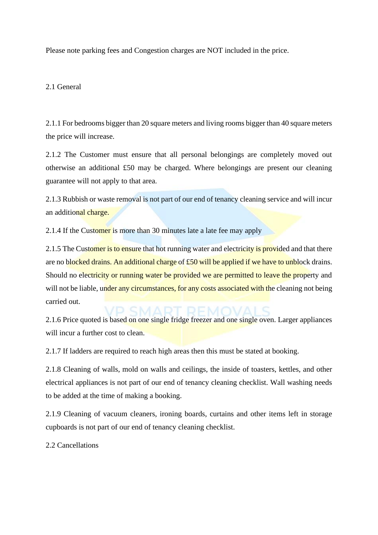Please note parking fees and Congestion charges are NOT included in the price.

## 2.1 General

2.1.1 For bedrooms bigger than 20 square meters and living rooms bigger than 40 square meters the price will increase.

2.1.2 The Customer must ensure that all personal belongings are completely moved out otherwise an additional £50 may be charged. Where belongings are present our cleaning guarantee will not apply to that area.

2.1.3 Rubbish or waste removal is not part of our end of tenancy cleaning service and will incur an additional charge.

2.1.4 If the Customer is more than 30 minutes late a late fee may apply

2.1.5 The Customer is to ensure that hot running water and electricity is provided and that there are no blocked drains. An additional charge of £50 will be applied if we have to unblock drains. Should no electricity or running water be provided we are permitted to leave the property and will not be liable, under any circumstances, for any costs associated with the cleaning not being carried out.

2.1.6 Price quoted is based on one single fridge freezer and one single oven. Larger appliances will incur a further cost to clean.

2.1.7 If ladders are required to reach high areas then this must be stated at booking.

2.1.8 Cleaning of walls, mold on walls and ceilings, the inside of toasters, kettles, and other electrical appliances is not part of our end of tenancy cleaning checklist. Wall washing needs to be added at the time of making a booking.

2.1.9 Cleaning of vacuum cleaners, ironing boards, curtains and other items left in storage cupboards is not part of our end of tenancy cleaning checklist.

2.2 Cancellations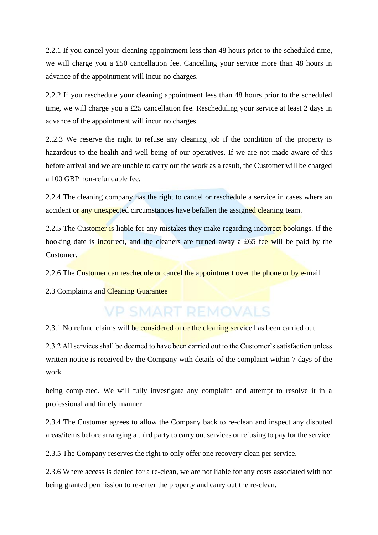2.2.1 If you cancel your cleaning appointment less than 48 hours prior to the scheduled time, we will charge you a £50 cancellation fee. Cancelling your service more than 48 hours in advance of the appointment will incur no charges.

2.2.2 If you reschedule your cleaning appointment less than 48 hours prior to the scheduled time, we will charge you a £25 cancellation fee. Rescheduling your service at least 2 days in advance of the appointment will incur no charges.

2..2.3 We reserve the right to refuse any cleaning job if the condition of the property is hazardous to the health and well being of our operatives. If we are not made aware of this before arrival and we are unable to carry out the work as a result, the Customer will be charged a 100 GBP non-refundable fee.

2.2.4 The cleaning company has the right to cancel or reschedule a service in cases where an accident or any unexpected circumstances have befallen the assigned cleaning team.

2.2.5 The Customer is liable for any mistakes they make regarding incorrect bookings. If the booking date is incorrect, and the cleaners are turned away a £65 fee will be paid by the Customer.

2.2.6 The Customer can reschedule or cancel the appointment over the phone or by e-mail.

2.3 Complaints and Cleaning Guarantee

## **VP SMART REMOVALS**

2.3.1 No refund claims will be considered once the cleaning service has been carried out.

2.3.2 All services shall be deemed to have been carried out to the Customer's satisfaction unless written notice is received by the Company with details of the complaint within 7 days of the work

being completed. We will fully investigate any complaint and attempt to resolve it in a professional and timely manner.

2.3.4 The Customer agrees to allow the Company back to re-clean and inspect any disputed areas/items before arranging a third party to carry out services or refusing to pay for the service.

2.3.5 The Company reserves the right to only offer one recovery clean per service.

2.3.6 Where access is denied for a re-clean, we are not liable for any costs associated with not being granted permission to re-enter the property and carry out the re-clean.